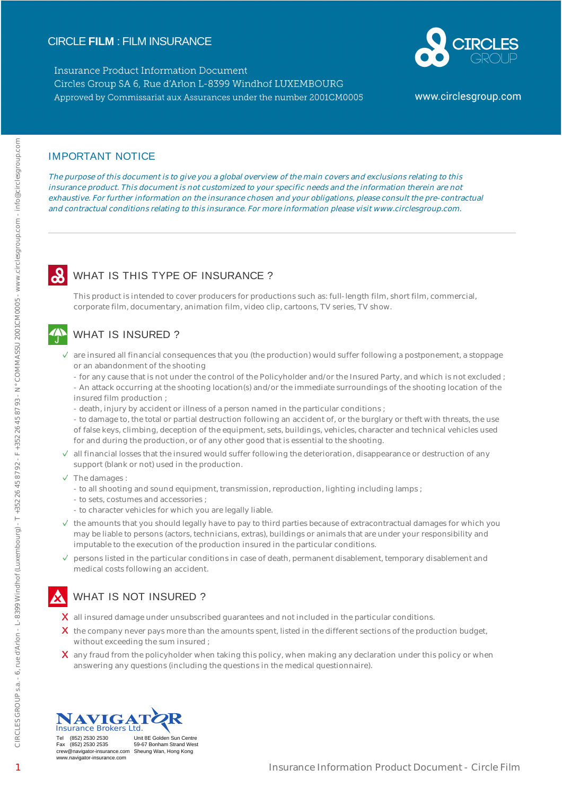## CIRCLE **FILM** : FILM INSURANCE

**Insurance Product Information Document** Circles Group SA 6, Rue d'Arlon L-8399 Windhof LUXEMBOURG Approved by Commissariat aux Assurances under the number 2001CM0005



www.circlesgroup.com

### IMPORTANT NOTICE

The purpose of this document is to give you a global overview of the main covers and exclusions relating to this insurance product. This document is not customized to your specific needs and the information therein are not exhaustive. For further information on the insurance chosen and your obligations, please consult the pre-contractual and contractual conditions relating to this insurance. For more information please visit www.circlesgroup.com.

## WHAT IS THIS TYPE OF INSURANCE?

This product is intended to cover producers for productions such as: full-length film, short film, commercial, corporate film, documentary, animation film, video clip, cartoons, TV series, TV show.

# WHAT IS INSURED ?

- $\checkmark$  are insured all financial consequences that you (the production) would suffer following a postponement, a stoppage or an abandonment of the shooting
	- for any cause that is not under the control of the Policyholder and/or the Insured Party, and which is not excluded ; - An attack occurring at the shooting location(s) and/or the immediate surroundings of the shooting location of the insured film production ;
	- death, injury by accident or illness of a person named in the particular conditions ;
	- to damage to, the total or partial destruction following an accident of, or the burglary or theft with threats, the use of false keys, climbing, deception of the equipment, sets, buildings, vehicles, character and technical vehicles used for and during the production, or of any other good that is essential to the shooting.
- $\checkmark$  all financial losses that the insured would suffer following the deterioration, disappearance or destruction of any support (blank or not) used in the production.
- $\checkmark$  The damages :
	- to all shooting and sound equipment, transmission, reproduction, lighting including lamps ;
	- to sets, costumes and accessories ;
	- to character vehicles for which you are legally liable.
- $\vee$  the amounts that you should legally have to pay to third parties because of extracontractual damages for which you may be liable to persons (actors, technicians, extras), buildings or animals that are under your responsibility and imputable to the execution of the production insured in the particular conditions.
- $\vee$  persons listed in the particular conditions in case of death, permanent disablement, temporary disablement and medical costs following an accident.

# WHAT IS NOT INSURED ?

- $\chi$  all insured damage under unsubscribed guarantees and not included in the particular conditions.
- $\chi$  the company never pays more than the amounts spent, listed in the different sections of the production budget, without exceeding the sum insured ;
- $\bm{X}$  any fraud from the policyholder when taking this policy, when making any declaration under this policy or when answering any questions (including the questions in the medical questionnaire).



Fax (852) 2530 2535 59-67 Bonham Strand West crew@navigator-insurance.com Sheung Wan, Hong Kong www.navigator-insurance.com

Tel (852) 2530 2530 Unit 8E Golden Sun Centre